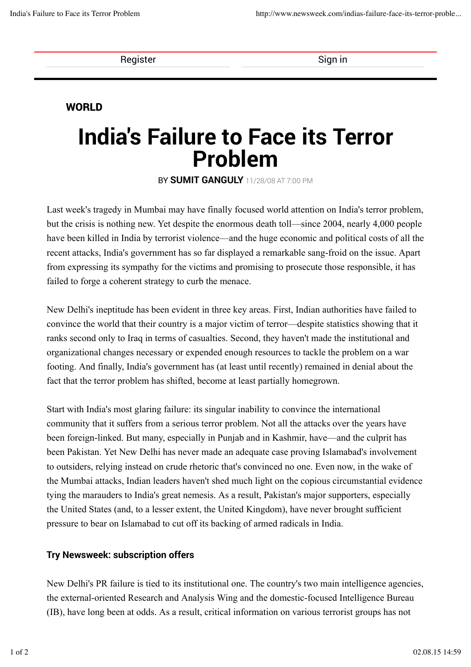Register Sign in

## WORLD

# India's Failure to Face its Terror Problem

BY SUMIT GANGULY 11/28/08 AT 7:00 PM

Last week's tragedy in Mumbai may have finally focused world attention on India's terror problem, but the crisis is nothing new. Yet despite the enormous death toll—since 2004, nearly 4,000 people have been killed in India by terrorist violence—and the huge economic and political costs of all the recent attacks, India's government has so far displayed a remarkable sang-froid on the issue. Apart from expressing its sympathy for the victims and promising to prosecute those responsible, it has failed to forge a coherent strategy to curb the menace.

New Delhi's ineptitude has been evident in three key areas. First, Indian authorities have failed to convince the world that their country is a major victim of terror—despite statistics showing that it ranks second only to Iraq in terms of casualties. Second, they haven't made the institutional and organizational changes necessary or expended enough resources to tackle the problem on a war footing. And finally, India's government has (at least until recently) remained in denial about the fact that the terror problem has shifted, become at least partially homegrown.

Start with India's most glaring failure: its singular inability to convince the international community that it suffers from a serious terror problem. Not all the attacks over the years have been foreign-linked. But many, especially in Punjab and in Kashmir, have—and the culprit has been Pakistan. Yet New Delhi has never made an adequate case proving Islamabad's involvement to outsiders, relying instead on crude rhetoric that's convinced no one. Even now, in the wake of the Mumbai attacks, Indian leaders haven't shed much light on the copious circumstantial evidence tying the marauders to India's great nemesis. As a result, Pakistan's major supporters, especially the United States (and, to a lesser extent, the United Kingdom), have never brought sufficient pressure to bear on Islamabad to cut off its backing of armed radicals in India.

## Try Newsweek: subscription offers

New Delhi's PR failure is tied to its institutional one. The country's two main intelligence agencies, the external-oriented Research and Analysis Wing and the domestic-focused Intelligence Bureau (IB), have long been at odds. As a result, critical information on various terrorist groups has not